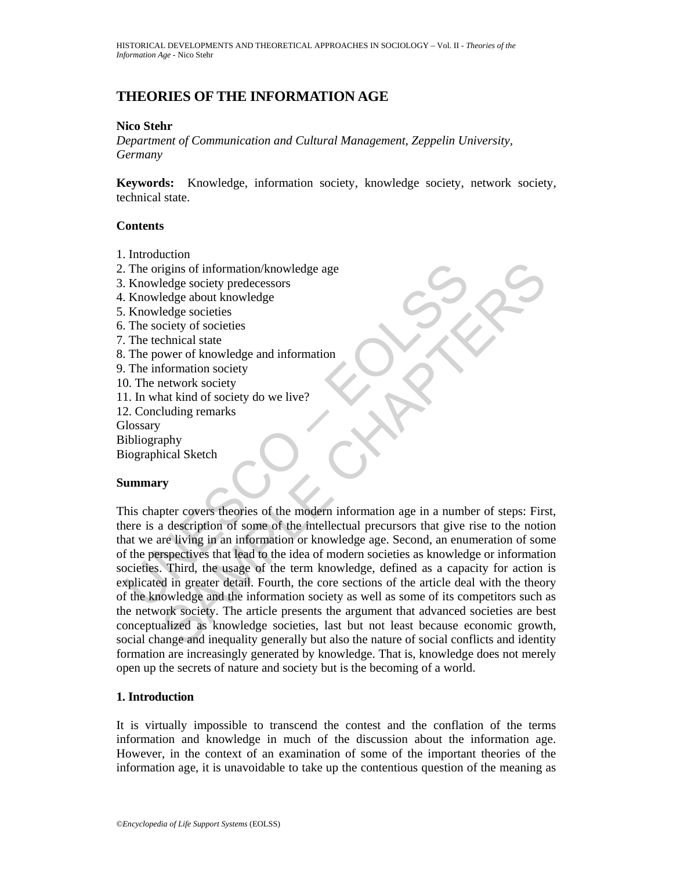# **THEORIES OF THE INFORMATION AGE**

### **Nico Stehr**

*Department of Communication and Cultural Management, Zeppelin University, Germany* 

**Keywords:** Knowledge, information society, knowledge society, network society, technical state.

# **Contents**

- 1. Introduction
- 2. The origins of information/knowledge age
- 3. Knowledge society predecessors
- 4. Knowledge about knowledge
- 5. Knowledge societies
- 6. The society of societies
- 7. The technical state
- 8. The power of knowledge and information
- 9. The information society
- 10. The network society
- 11. In what kind of society do we live?
- 12. Concluding remarks

**Glossary** 

Bibliography

Biographical Sketch

# **Summary**

The origins of information/knowledge age<br>
Knowledge society predecessors<br>
Knowledge society redecessors<br>
Xnowledge societies<br>
The information society<br>
The information society<br>
The information society<br>
D. The information so igins of information/knowledge age<br>
ledge societies<br>
eledge societies<br>
chedge about knowledge<br>
eledge societies<br>
chedge societies<br>
ower of knowledge and information<br>
of oracities<br>
where of knowledge and information<br>
of com This chapter covers theories of the modern information age in a number of steps: First, there is a description of some of the intellectual precursors that give rise to the notion that we are living in an information or knowledge age. Second, an enumeration of some of the perspectives that lead to the idea of modern societies as knowledge or information societies. Third, the usage of the term knowledge, defined as a capacity for action is explicated in greater detail. Fourth, the core sections of the article deal with the theory of the knowledge and the information society as well as some of its competitors such as the network society. The article presents the argument that advanced societies are best conceptualized as knowledge societies, last but not least because economic growth, social change and inequality generally but also the nature of social conflicts and identity formation are increasingly generated by knowledge. That is, knowledge does not merely open up the secrets of nature and society but is the becoming of a world.

### **1. Introduction**

It is virtually impossible to transcend the contest and the conflation of the terms information and knowledge in much of the discussion about the information age. However, in the context of an examination of some of the important theories of the information age, it is unavoidable to take up the contentious question of the meaning as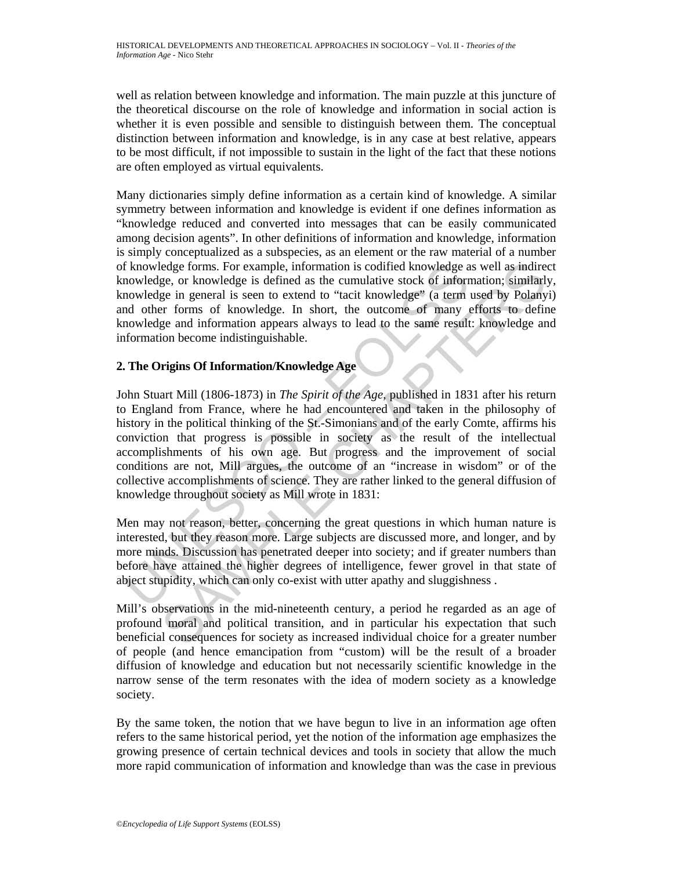well as relation between knowledge and information. The main puzzle at this juncture of the theoretical discourse on the role of knowledge and information in social action is whether it is even possible and sensible to distinguish between them. The conceptual distinction between information and knowledge, is in any case at best relative, appears to be most difficult, if not impossible to sustain in the light of the fact that these notions are often employed as virtual equivalents.

Many dictionaries simply define information as a certain kind of knowledge. A similar symmetry between information and knowledge is evident if one defines information as "knowledge reduced and converted into messages that can be easily communicated among decision agents". In other definitions of information and knowledge, information is simply conceptualized as a subspecies, as an element or the raw material of a number of knowledge forms. For example, information is codified knowledge as well as indirect knowledge, or knowledge is defined as the cumulative stock of information; similarly, knowledge in general is seen to extend to "tacit knowledge" (a term used by Polanyi) and other forms of knowledge. In short, the outcome of many efforts to define knowledge and information appears always to lead to the same result: knowledge and information become indistinguishable.

# **2. The Origins Of Information/Knowledge Age**

f knowledge forms. For example, information is codified knowledge a<br>nowledge, or knowledge is defined as the cumulative stock of inform<br>nowledge in general is seen to extend to "tacit knowledge" (a term<br>nowledge in general edge forms. For example, information is codified knowledge as well as indire<br>ege, or knowledge is defined as the cumulative stock of information, similarly<br>ge in general is seen to extend to "tacit knowledge" (a term used John Stuart Mill (1806-1873) in *The Spirit of the Age*, published in 1831 after his return to England from France, where he had encountered and taken in the philosophy of history in the political thinking of the St.-Simonians and of the early Comte, affirms his conviction that progress is possible in society as the result of the intellectual accomplishments of his own age. But progress and the improvement of social conditions are not, Mill argues, the outcome of an "increase in wisdom" or of the collective accomplishments of science. They are rather linked to the general diffusion of knowledge throughout society as Mill wrote in 1831:

Men may not reason, better, concerning the great questions in which human nature is interested, but they reason more. Large subjects are discussed more, and longer, and by more minds. Discussion has penetrated deeper into society; and if greater numbers than before have attained the higher degrees of intelligence, fewer grovel in that state of abject stupidity, which can only co-exist with utter apathy and sluggishness .

Mill's observations in the mid-nineteenth century, a period he regarded as an age of profound moral and political transition, and in particular his expectation that such beneficial consequences for society as increased individual choice for a greater number of people (and hence emancipation from "custom) will be the result of a broader diffusion of knowledge and education but not necessarily scientific knowledge in the narrow sense of the term resonates with the idea of modern society as a knowledge society.

By the same token, the notion that we have begun to live in an information age often refers to the same historical period, yet the notion of the information age emphasizes the growing presence of certain technical devices and tools in society that allow the much more rapid communication of information and knowledge than was the case in previous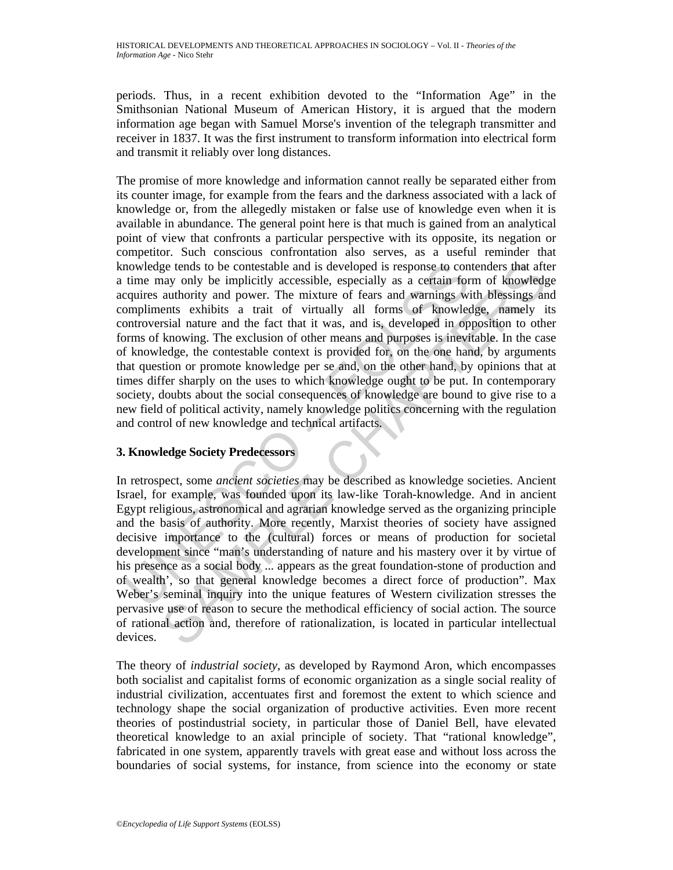periods. Thus, in a recent exhibition devoted to the "Information Age" in the Smithsonian National Museum of American History, it is argued that the modern information age began with Samuel Morse's invention of the telegraph transmitter and receiver in 1837. It was the first instrument to transform information into electrical form and transmit it reliably over long distances.

mowledge tends to be contestable and is developed is response to con<br>time may only be implicitly accessible, especially as a certain for<br>equires authority and power. The mixture of fears and warmings with<br>pompliments exhib ge tends to be contestable and is developed is response to contenders that afted and youly be implicitly accessible, especially as a certain form of knowledge and any only be implicitly accessible, especially as a certain The promise of more knowledge and information cannot really be separated either from its counter image, for example from the fears and the darkness associated with a lack of knowledge or, from the allegedly mistaken or false use of knowledge even when it is available in abundance. The general point here is that much is gained from an analytical point of view that confronts a particular perspective with its opposite, its negation or competitor. Such conscious confrontation also serves, as a useful reminder that knowledge tends to be contestable and is developed is response to contenders that after a time may only be implicitly accessible, especially as a certain form of knowledge acquires authority and power. The mixture of fears and warnings with blessings and compliments exhibits a trait of virtually all forms of knowledge, namely its controversial nature and the fact that it was, and is, developed in opposition to other forms of knowing. The exclusion of other means and purposes is inevitable. In the case of knowledge, the contestable context is provided for, on the one hand, by arguments that question or promote knowledge per se and, on the other hand, by opinions that at times differ sharply on the uses to which knowledge ought to be put. In contemporary society, doubts about the social consequences of knowledge are bound to give rise to a new field of political activity, namely knowledge politics concerning with the regulation and control of new knowledge and technical artifacts.

# **3. Knowledge Society Predecessors**

In retrospect, some *ancient societies* may be described as knowledge societies. Ancient Israel, for example, was founded upon its law-like Torah-knowledge. And in ancient Egypt religious, astronomical and agrarian knowledge served as the organizing principle and the basis of authority. More recently, Marxist theories of society have assigned decisive importance to the (cultural) forces or means of production for societal development since "man's understanding of nature and his mastery over it by virtue of his presence as a social body ... appears as the great foundation-stone of production and of wealth', so that general knowledge becomes a direct force of production". Max Weber's seminal inquiry into the unique features of Western civilization stresses the pervasive use of reason to secure the methodical efficiency of social action. The source of rational action and, therefore of rationalization, is located in particular intellectual devices.

The theory of *industrial society*, as developed by Raymond Aron, which encompasses both socialist and capitalist forms of economic organization as a single social reality of industrial civilization, accentuates first and foremost the extent to which science and technology shape the social organization of productive activities. Even more recent theories of postindustrial society, in particular those of Daniel Bell, have elevated theoretical knowledge to an axial principle of society. That "rational knowledge", fabricated in one system, apparently travels with great ease and without loss across the boundaries of social systems, for instance, from science into the economy or state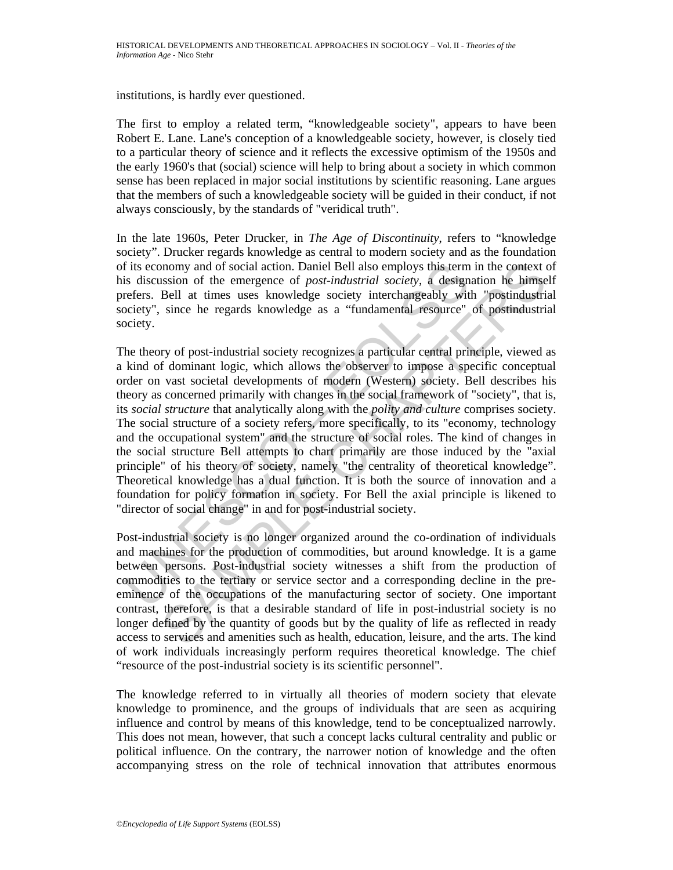institutions, is hardly ever questioned.

The first to employ a related term, "knowledgeable society", appears to have been Robert E. Lane. Lane's conception of a knowledgeable society, however, is closely tied to a particular theory of science and it reflects the excessive optimism of the 1950s and the early 1960's that (social) science will help to bring about a society in which common sense has been replaced in major social institutions by scientific reasoning. Lane argues that the members of such a knowledgeable society will be guided in their conduct, if not always consciously, by the standards of "veridical truth".

In the late 1960s, Peter Drucker, in *The Age of Discontinuity*, refers to "knowledge society". Drucker regards knowledge as central to modern society and as the foundation of its economy and of social action. Daniel Bell also employs this term in the context of his discussion of the emergence of *post-industrial society*, a designation he himself prefers. Bell at times uses knowledge society interchangeably with "postindustrial society", since he regards knowledge as a "fundamental resource" of postindustrial society.

It is economy and of social action. Daniel Bell also employs this term<br>is discussion of the emergence of *post-industrial society*, a design<br>refers. Bell at times uses knowledge society interchangeably wit<br>oriety. The here momy and of social action. Daniel Bell also employs this term in the context costs<br>in of the energence of *posi-industrial society*, a designation he limines<br>uses knowledge society interchangeably with "postindustrial<br>sinc The theory of post-industrial society recognizes a particular central principle, viewed as a kind of dominant logic, which allows the observer to impose a specific conceptual order on vast societal developments of modern (Western) society. Bell describes his theory as concerned primarily with changes in the social framework of "society", that is, its *social structure* that analytically along with the *polity and culture* comprises society. The social structure of a society refers, more specifically, to its "economy, technology and the occupational system" and the structure of social roles. The kind of changes in the social structure Bell attempts to chart primarily are those induced by the "axial principle" of his theory of society, namely "the centrality of theoretical knowledge". Theoretical knowledge has a dual function. It is both the source of innovation and a foundation for policy formation in society. For Bell the axial principle is likened to "director of social change" in and for post-industrial society.

Post-industrial society is no longer organized around the co-ordination of individuals and machines for the production of commodities, but around knowledge. It is a game between persons. Post-industrial society witnesses a shift from the production of commodities to the tertiary or service sector and a corresponding decline in the preeminence of the occupations of the manufacturing sector of society. One important contrast, therefore, is that a desirable standard of life in post-industrial society is no longer defined by the quantity of goods but by the quality of life as reflected in ready access to services and amenities such as health, education, leisure, and the arts. The kind of work individuals increasingly perform requires theoretical knowledge. The chief "resource of the post-industrial society is its scientific personnel".

The knowledge referred to in virtually all theories of modern society that elevate knowledge to prominence, and the groups of individuals that are seen as acquiring influence and control by means of this knowledge, tend to be conceptualized narrowly. This does not mean, however, that such a concept lacks cultural centrality and public or political influence. On the contrary, the narrower notion of knowledge and the often accompanying stress on the role of technical innovation that attributes enormous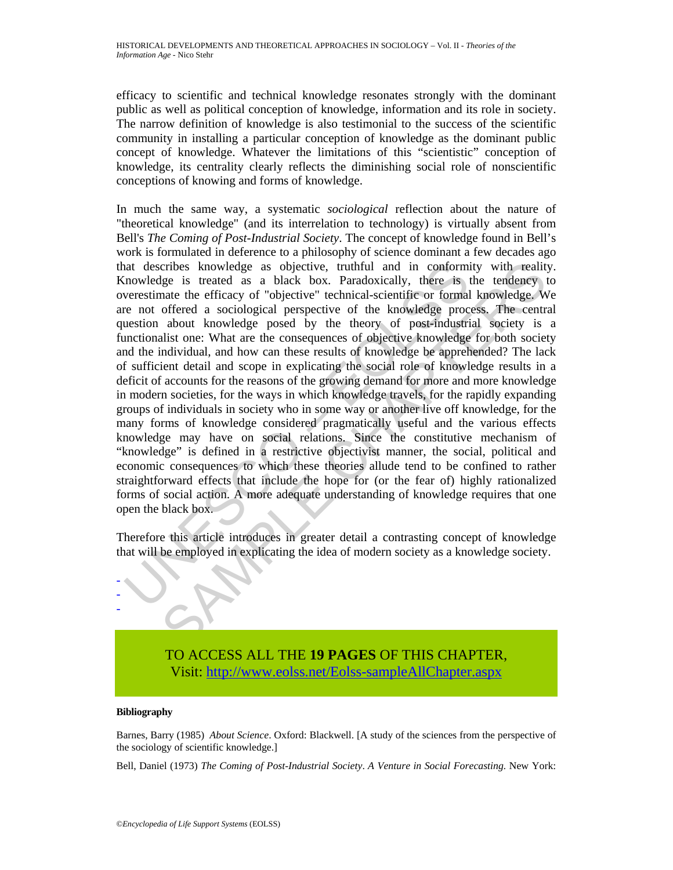efficacy to scientific and technical knowledge resonates strongly with the dominant public as well as political conception of knowledge, information and its role in society. The narrow definition of knowledge is also testimonial to the success of the scientific community in installing a particular conception of knowledge as the dominant public concept of knowledge. Whatever the limitations of this "scientistic" conception of knowledge, its centrality clearly reflects the diminishing social role of nonscientific conceptions of knowing and forms of knowledge.

and describes knowledge as objective, truthful and in conforminomoledge is treated as a black box. Paradoxically, there is the efficacy of "objective" technical-scientific or formal exerestimate the efficacy of "objective" cribes knowledge as objective, truthful and in conformity with reality<br>ge is treated as a black box. Paradoxically, there is the tendency the<br>data the efficacy of "objective" technical-scientific or formal knowledge. We<br>of In much the same way, a systematic *sociological* reflection about the nature of "theoretical knowledge" (and its interrelation to technology) is virtually absent from Bell's *The Coming of Post-Industrial Society*. The concept of knowledge found in Bell's work is formulated in deference to a philosophy of science dominant a few decades ago that describes knowledge as objective, truthful and in conformity with reality. Knowledge is treated as a black box. Paradoxically, there is the tendency to overestimate the efficacy of "objective" technical-scientific or formal knowledge. We are not offered a sociological perspective of the knowledge process. The central question about knowledge posed by the theory of post-industrial society is a functionalist one: What are the consequences of objective knowledge for both society and the individual, and how can these results of knowledge be apprehended? The lack of sufficient detail and scope in explicating the social role of knowledge results in a deficit of accounts for the reasons of the growing demand for more and more knowledge in modern societies, for the ways in which knowledge travels, for the rapidly expanding groups of individuals in society who in some way or another live off knowledge, for the many forms of knowledge considered pragmatically useful and the various effects knowledge may have on social relations. Since the constitutive mechanism of "knowledge" is defined in a restrictive objectivist manner, the social, political and economic consequences to which these theories allude tend to be confined to rather straightforward effects that include the hope for (or the fear of) highly rationalized forms of social action. A more adequate understanding of knowledge requires that one open the black box.

Therefore this article introduces in greater detail a contrasting concept of knowledge that will be employed in explicating the idea of modern society as a knowledge society.



#### **Bibliography**

- - -

Barnes, Barry (1985) *About Science*. Oxford: Blackwell. [A study of the sciences from the perspective of the sociology of scientific knowledge.]

Bell, Daniel (1973) *The Coming of Post-Industrial Society*. *A Venture in Social Forecasting.* New York: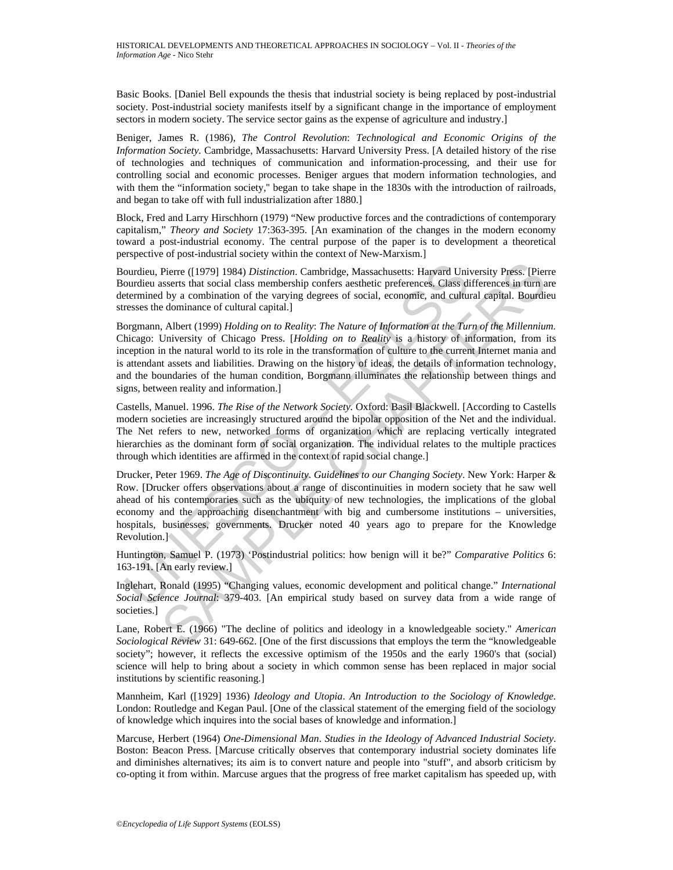Basic Books. [Daniel Bell expounds the thesis that industrial society is being replaced by post-industrial society. Post-industrial society manifests itself by a significant change in the importance of employment sectors in modern society. The service sector gains as the expense of agriculture and industry.]

Beniger, James R. (1986), *The Control Revolution*: *Technological and Economic Origins of the Information Society.* Cambridge, Massachusetts: Harvard University Press. [A detailed history of the rise of technologies and techniques of communication and information-processing, and their use for controlling social and economic processes. Beniger argues that modern information technologies, and with them the "information society," began to take shape in the 1830s with the introduction of railroads, and began to take off with full industrialization after 1880.]

Block, Fred and Larry Hirschhorn (1979) "New productive forces and the contradictions of contemporary capitalism," *Theory and Society* 17:363-395. [An examination of the changes in the modern economy toward a post-industrial economy. The central purpose of the paper is to development a theoretical perspective of post-industrial society within the context of New-Marxism.]

Bourdieu, Pierre ([1979] 1984) *Distinction*. Cambridge, Massachusetts: Harvard University Press. [Pierre Bourdieu asserts that social class membership confers aesthetic preferences. Class differences in turn are determined by a combination of the varying degrees of social, economic, and cultural capital. Bourdieu stresses the dominance of cultural capital.]

ourdieu, Pierre ([1979] 1984) Distinction. Cambridge, Massachusetts: Harvard Univordieu asserts that social class membership confers aesthetic preferences. Class differemined by a combination of the varying degrees of soci Pierre ([1979] 1984) *Distinction*. Cambridge, Massachusetts: Harvard University Press. [Pierre (in turn a signal class membership onders assetheic perfectners. Class differences in turn as dominance of cultural capital.] Borgmann, Albert (1999) *Holding on to Reality*: *The Nature of Information at the Turn of the Millennium.* Chicago: University of Chicago Press. [*Holding on to Reality* is a history of information, from its inception in the natural world to its role in the transformation of culture to the current Internet mania and is attendant assets and liabilities. Drawing on the history of ideas, the details of information technology, and the boundaries of the human condition, Borgmann illuminates the relationship between things and signs, between reality and information.]

Castells, Manuel. 1996. *The Rise of the Network Society.* Oxford: Basil Blackwell. [According to Castells modern societies are increasingly structured around the bipolar opposition of the Net and the individual. The Net refers to new, networked forms of organization which are replacing vertically integrated hierarchies as the dominant form of social organization. The individual relates to the multiple practices through which identities are affirmed in the context of rapid social change.]

Drucker, Peter 1969. *The Age of Discontinuity*. *Guidelines to our Changing Society*. New York: Harper & Row. [Drucker offers observations about a range of discontinuities in modern society that he saw well ahead of his contemporaries such as the ubiquity of new technologies, the implications of the global economy and the approaching disenchantment with big and cumbersome institutions – universities, hospitals, businesses, governments. Drucker noted 40 years ago to prepare for the Knowledge Revolution.]

Huntington, Samuel P. (1973) 'Postindustrial politics: how benign will it be?" *Comparative Politics* 6: 163-191. [An early review.]

Inglehart, Ronald (1995) "Changing values, economic development and political change." *International Social Science Journal*: 379-403. [An empirical study based on survey data from a wide range of societies.]

Lane, Robert E. (1966) "The decline of politics and ideology in a knowledgeable society." *American Sociological Review* 31: 649-662. [One of the first discussions that employs the term the "knowledgeable society"; however, it reflects the excessive optimism of the 1950s and the early 1960's that (social) science will help to bring about a society in which common sense has been replaced in major social institutions by scientific reasoning.]

Mannheim, Karl ([1929] 1936) *Ideology and Utopia*. *An Introduction to the Sociology of Knowledge.* London: Routledge and Kegan Paul. [One of the classical statement of the emerging field of the sociology of knowledge which inquires into the social bases of knowledge and information.]

Marcuse, Herbert (1964) *One-Dimensional Man*. *Studies in the Ideology of Advanced Industrial Society*. Boston: Beacon Press. [Marcuse critically observes that contemporary industrial society dominates life and diminishes alternatives; its aim is to convert nature and people into "stuff", and absorb criticism by co-opting it from within. Marcuse argues that the progress of free market capitalism has speeded up, with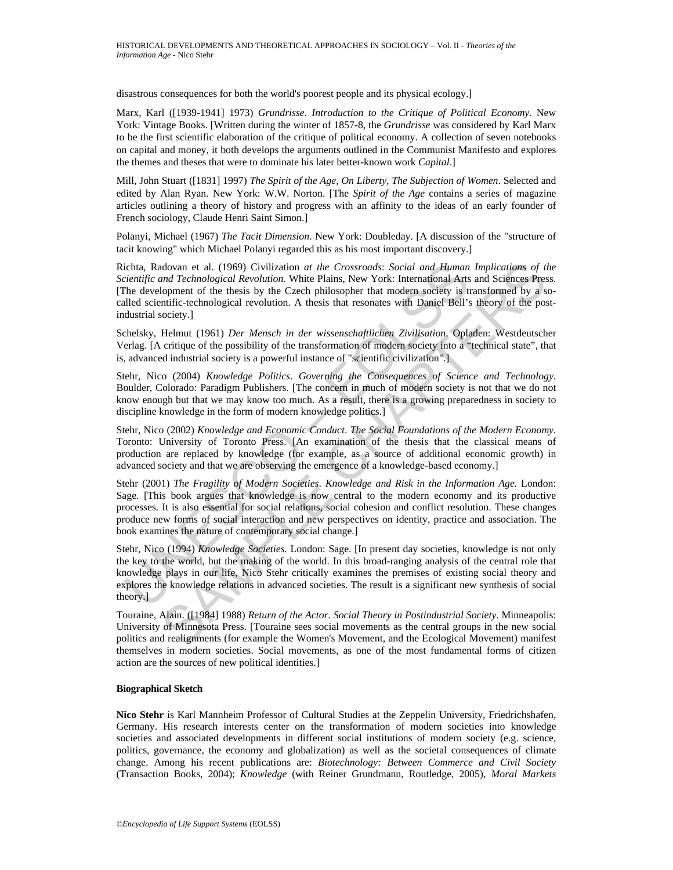disastrous consequences for both the world's poorest people and its physical ecology.]

Marx, Karl ([1939-1941] 1973) *Grundrisse*. *Introduction to the Critique of Political Economy.* New York: Vintage Books. [Written during the winter of 1857-8, the *Grundrisse* was considered by Karl Marx to be the first scientific elaboration of the critique of political economy. A collection of seven notebooks on capital and money, it both develops the arguments outlined in the Communist Manifesto and explores the themes and theses that were to dominate his later better-known work *Capital*.]

Mill, John Stuart ([1831] 1997) *The Spirit of the Age, On Liberty, The Subjection of Women*. Selected and edited by Alan Ryan. New York: W.W. Norton. [The *Spirit of the Age* contains a series of magazine articles outlining a theory of history and progress with an affinity to the ideas of an early founder of French sociology, Claude Henri Saint Simon.]

Polanyi, Michael (1967) *The Tacit Dimension*. New York: Doubleday. [A discussion of the "structure of tacit knowing" which Michael Polanyi regarded this as his most important discovery.]

ichta, Radovan et al. (1969) Civilization *at the Crossroads: Social and Human*<br>crientific and Technological Revolution. White Plains, New York: International Arts<br>cherchic development of the thesis by the Czech philosophe adovan et al. (1969) Civilization at the Crossroads: Social and Human Implications of the Dranological Revolution. White Palms, New York: International Arts and Sciences Press, the Czech philosopher that modern society is Richta, Radovan et al. (1969) Civilization *at the Crossroads*: *Social and Human Implications of the Scientific and Technological Revolution.* White Plains, New York: International Arts and Sciences Press. [The development of the thesis by the Czech philosopher that modern society is transformed by a socalled scientific-technological revolution. A thesis that resonates with Daniel Bell's theory of the postindustrial society.]

Schelsky, Helmut (1961) *Der Mensch in der wissenschaftlichen Zivilisation*. Opladen: Westdeutscher Verlag. [A critique of the possibility of the transformation of modern society into a "technical state", that is, advanced industrial society is a powerful instance of "scientific civilization".]

Stehr, Nico (2004) *Knowledge Politics*. *Governing the Consequences of Science and Technology.*  Boulder, Colorado: Paradigm Publishers. [The concern in much of modern society is not that we do not know enough but that we may know too much. As a result, there is a growing preparedness in society to discipline knowledge in the form of modern knowledge politics.]

Stehr, Nico (2002) *Knowledge and Economic Conduct*. *The Social Foundations of the Modern Economy.* Toronto: University of Toronto Press. [An examination of the thesis that the classical means of production are replaced by knowledge (for example, as a source of additional economic growth) in advanced society and that we are observing the emergence of a knowledge-based economy.]

Stehr (2001) *The Fragility of Modern Societies*. *Knowledge and Risk in the Information Age.* London: Sage. [This book argues that knowledge is now central to the modern economy and its productive processes. It is also essential for social relations, social cohesion and conflict resolution. These changes produce new forms of social interaction and new perspectives on identity, practice and association. The book examines the nature of contemporary social change.]

Stehr, Nico (1994) *Knowledge Societies.* London: Sage. [In present day societies, knowledge is not only the key to the world, but the making of the world. In this broad-ranging analysis of the central role that knowledge plays in our life, Nico Stehr critically examines the premises of existing social theory and explores the knowledge relations in advanced societies. The result is a significant new synthesis of social theory.]

Touraine, Alain. ([1984] 1988) *Return of the Actor. Social Theory in Postindustrial Society.* Minneapolis: University of Minnesota Press. [Touraine sees social movements as the central groups in the new social politics and realignments (for example the Women's Movement, and the Ecological Movement) manifest themselves in modern societies. Social movements, as one of the most fundamental forms of citizen action are the sources of new political identities.]

#### **Biographical Sketch**

**Nico Stehr** is Karl Mannheim Professor of Cultural Studies at the Zeppelin University, Friedrichshafen, Germany. His research interests center on the transformation of modern societies into knowledge societies and associated developments in different social institutions of modern society (e.g. science, politics, governance, the economy and globalization) as well as the societal consequences of climate change. Among his recent publications are: *Biotechnology: Between Commerce and Civil Society* (Transaction Books, 2004); *Knowledge* (with Reiner Grundmann, Routledge, 2005), *Moral Markets*